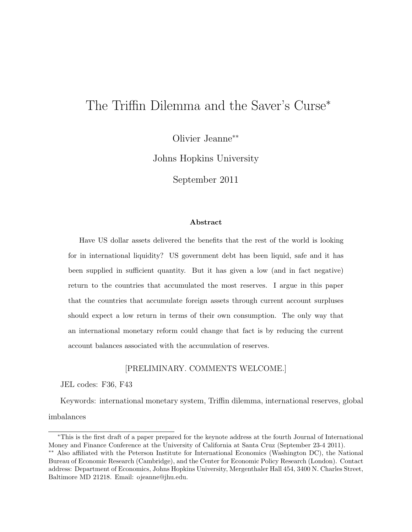# The Triffin Dilemma and the Saver's Curse<sup>∗</sup>

Olivier Jeanne∗∗

Johns Hopkins University

September 2011

#### Abstract

Have US dollar assets delivered the benefits that the rest of the world is looking for in international liquidity? US government debt has been liquid, safe and it has been supplied in sufficient quantity. But it has given a low (and in fact negative) return to the countries that accumulated the most reserves. I argue in this paper that the countries that accumulate foreign assets through current account surpluses should expect a low return in terms of their own consumption. The only way that an international monetary reform could change that fact is by reducing the current account balances associated with the accumulation of reserves.

### [PRELIMINARY. COMMENTS WELCOME.]

JEL codes: F36, F43

Keywords: international monetary system, Triffin dilemma, international reserves, global imbalances

<sup>∗</sup>This is the first draft of a paper prepared for the keynote address at the fourth Journal of International Money and Finance Conference at the University of California at Santa Cruz (September 23-4 2011).

<sup>∗∗</sup> Also affiliated with the Peterson Institute for International Economics (Washington DC), the National Bureau of Economic Research (Cambridge), and the Center for Economic Policy Research (London). Contact address: Department of Economics, Johns Hopkins University, Mergenthaler Hall 454, 3400 N. Charles Street, Baltimore MD 21218. Email: ojeanne@jhu.edu.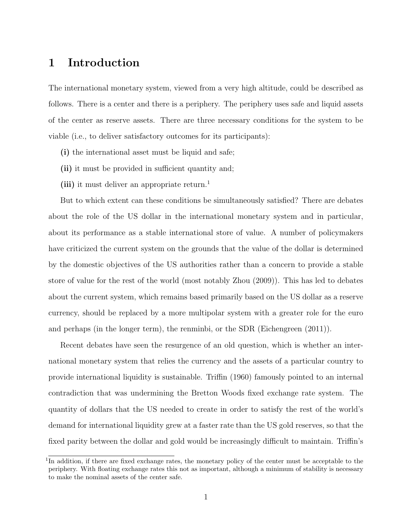## 1 Introduction

The international monetary system, viewed from a very high altitude, could be described as follows. There is a center and there is a periphery. The periphery uses safe and liquid assets of the center as reserve assets. There are three necessary conditions for the system to be viable (i.e., to deliver satisfactory outcomes for its participants):

- (i) the international asset must be liquid and safe;
- (ii) it must be provided in sufficient quantity and;
- (iii) it must deliver an appropriate return.<sup>1</sup>

But to which extent can these conditions be simultaneously satisfied? There are debates about the role of the US dollar in the international monetary system and in particular, about its performance as a stable international store of value. A number of policymakers have criticized the current system on the grounds that the value of the dollar is determined by the domestic objectives of the US authorities rather than a concern to provide a stable store of value for the rest of the world (most notably Zhou (2009)). This has led to debates about the current system, which remains based primarily based on the US dollar as a reserve currency, should be replaced by a more multipolar system with a greater role for the euro and perhaps (in the longer term), the renminbi, or the SDR (Eichengreen (2011)).

Recent debates have seen the resurgence of an old question, which is whether an international monetary system that relies the currency and the assets of a particular country to provide international liquidity is sustainable. Triffin (1960) famously pointed to an internal contradiction that was undermining the Bretton Woods fixed exchange rate system. The quantity of dollars that the US needed to create in order to satisfy the rest of the world's demand for international liquidity grew at a faster rate than the US gold reserves, so that the fixed parity between the dollar and gold would be increasingly difficult to maintain. Triffin's

<sup>&</sup>lt;sup>1</sup>In addition, if there are fixed exchange rates, the monetary policy of the center must be acceptable to the periphery. With floating exchange rates this not as important, although a minimum of stability is necessary to make the nominal assets of the center safe.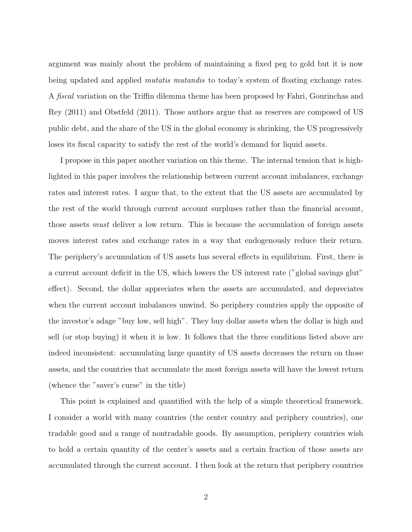argument was mainly about the problem of maintaining a fixed peg to gold but it is now being updated and applied *mutatis mutandis* to today's system of floating exchange rates. A fiscal variation on the Triffin dilemma theme has been proposed by Fahri, Gourinchas and Rey (2011) and Obstfeld (2011). Those authors argue that as reserves are composed of US public debt, and the share of the US in the global economy is shrinking, the US progressively loses its fiscal capacity to satisfy the rest of the world's demand for liquid assets.

I propose in this paper another variation on this theme. The internal tension that is highlighted in this paper involves the relationship between current account imbalances, exchange rates and interest rates. I argue that, to the extent that the US assets are accumulated by the rest of the world through current account surpluses rather than the financial account, those assets must deliver a low return. This is because the accumulation of foreign assets moves interest rates and exchange rates in a way that endogenously reduce their return. The periphery's accumulation of US assets has several effects in equilibrium. First, there is a current account deficit in the US, which lowers the US interest rate ("global savings glut" effect). Second, the dollar appreciates when the assets are accumulated, and depreciates when the current account imbalances unwind. So periphery countries apply the opposite of the investor's adage "buy low, sell high". They buy dollar assets when the dollar is high and sell (or stop buying) it when it is low. It follows that the three conditions listed above are indeed inconsistent: accumulating large quantity of US assets decreases the return on those assets, and the countries that accumulate the most foreign assets will have the lowest return (whence the "saver's curse" in the title)

This point is explained and quantified with the help of a simple theoretical framework. I consider a world with many countries (the center country and periphery countries), one tradable good and a range of nontradable goods. By assumption, periphery countries wish to hold a certain quantity of the center's assets and a certain fraction of those assets are accumulated through the current account. I then look at the return that periphery countries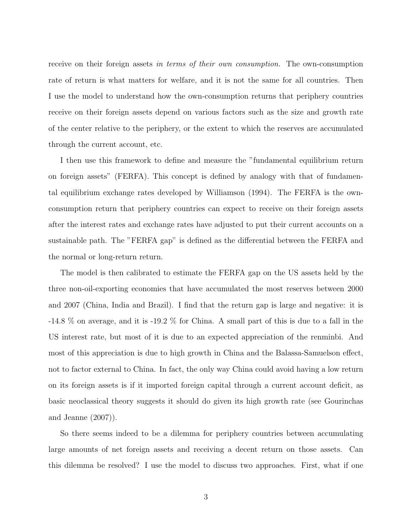receive on their foreign assets in terms of their own consumption. The own-consumption rate of return is what matters for welfare, and it is not the same for all countries. Then I use the model to understand how the own-consumption returns that periphery countries receive on their foreign assets depend on various factors such as the size and growth rate of the center relative to the periphery, or the extent to which the reserves are accumulated through the current account, etc.

I then use this framework to define and measure the "fundamental equilibrium return on foreign assets" (FERFA). This concept is defined by analogy with that of fundamental equilibrium exchange rates developed by Williamson (1994). The FERFA is the ownconsumption return that periphery countries can expect to receive on their foreign assets after the interest rates and exchange rates have adjusted to put their current accounts on a sustainable path. The "FERFA gap" is defined as the differential between the FERFA and the normal or long-return return.

The model is then calibrated to estimate the FERFA gap on the US assets held by the three non-oil-exporting economies that have accumulated the most reserves between 2000 and 2007 (China, India and Brazil). I find that the return gap is large and negative: it is -14.8 % on average, and it is -19.2 % for China. A small part of this is due to a fall in the US interest rate, but most of it is due to an expected appreciation of the renminbi. And most of this appreciation is due to high growth in China and the Balassa-Samuelson effect, not to factor external to China. In fact, the only way China could avoid having a low return on its foreign assets is if it imported foreign capital through a current account deficit, as basic neoclassical theory suggests it should do given its high growth rate (see Gourinchas and Jeanne (2007)).

So there seems indeed to be a dilemma for periphery countries between accumulating large amounts of net foreign assets and receiving a decent return on those assets. Can this dilemma be resolved? I use the model to discuss two approaches. First, what if one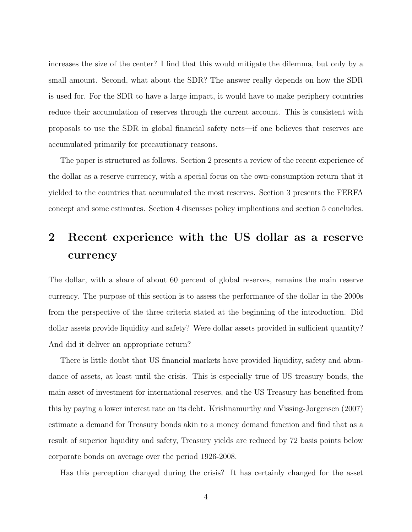increases the size of the center? I find that this would mitigate the dilemma, but only by a small amount. Second, what about the SDR? The answer really depends on how the SDR is used for. For the SDR to have a large impact, it would have to make periphery countries reduce their accumulation of reserves through the current account. This is consistent with proposals to use the SDR in global financial safety nets—if one believes that reserves are accumulated primarily for precautionary reasons.

The paper is structured as follows. Section 2 presents a review of the recent experience of the dollar as a reserve currency, with a special focus on the own-consumption return that it yielded to the countries that accumulated the most reserves. Section 3 presents the FERFA concept and some estimates. Section 4 discusses policy implications and section 5 concludes.

# 2 Recent experience with the US dollar as a reserve currency

The dollar, with a share of about 60 percent of global reserves, remains the main reserve currency. The purpose of this section is to assess the performance of the dollar in the 2000s from the perspective of the three criteria stated at the beginning of the introduction. Did dollar assets provide liquidity and safety? Were dollar assets provided in sufficient quantity? And did it deliver an appropriate return?

There is little doubt that US financial markets have provided liquidity, safety and abundance of assets, at least until the crisis. This is especially true of US treasury bonds, the main asset of investment for international reserves, and the US Treasury has benefited from this by paying a lower interest rate on its debt. Krishnamurthy and Vissing-Jorgensen (2007) estimate a demand for Treasury bonds akin to a money demand function and find that as a result of superior liquidity and safety, Treasury yields are reduced by 72 basis points below corporate bonds on average over the period 1926-2008.

Has this perception changed during the crisis? It has certainly changed for the asset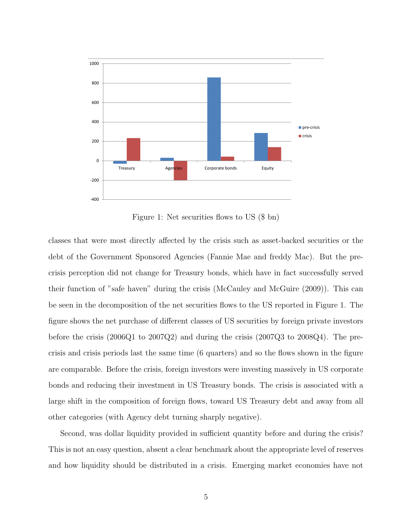

Figure 1: Net securities flows to US (\$ bn)

classes that were most directly affected by the crisis such as asset-backed securities or the debt of the Government Sponsored Agencies (Fannie Mae and freddy Mac). But the precrisis perception did not change for Treasury bonds, which have in fact successfully served their function of "safe haven" during the crisis (McCauley and McGuire (2009)). This can be seen in the decomposition of the net securities flows to the US reported in Figure 1. The figure shows the net purchase of different classes of US securities by foreign private investors before the crisis (2006Q1 to 2007Q2) and during the crisis (2007Q3 to 2008Q4). The precrisis and crisis periods last the same time (6 quarters) and so the flows shown in the figure are comparable. Before the crisis, foreign investors were investing massively in US corporate bonds and reducing their investment in US Treasury bonds. The crisis is associated with a large shift in the composition of foreign flows, toward US Treasury debt and away from all other categories (with Agency debt turning sharply negative).

Second, was dollar liquidity provided in sufficient quantity before and during the crisis? This is not an easy question, absent a clear benchmark about the appropriate level of reserves and how liquidity should be distributed in a crisis. Emerging market economies have not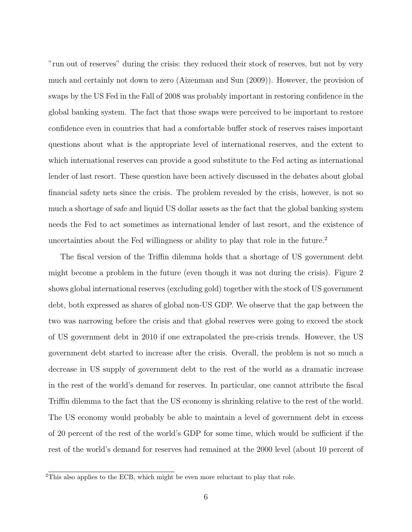"run out of reserves" during the crisis: they reduced their stock of reserves, but not by very much and certainly not down to zero (Aizenman and Sun (2009)). However, the provision of swaps by the US Fed in the Fall of 2008 was probably important in restoring confidence in the global banking system. The fact that those swaps were perceived to be important to restore confidence even in countries that had a comfortable buffer stock of reserves raises important questions about what is the appropriate level of international reserves, and the extent to which international reserves can provide a good substitute to the Fed acting as international lender of last resort. These question have been actively discussed in the debates about global financial safety nets since the crisis. The problem revealed by the crisis, however, is not so much a shortage of safe and liquid US dollar assets as the fact that the global banking system needs the Fed to act sometimes as international lender of last resort, and the existence of uncertainties about the Fed willingness or ability to play that role in the future.<sup>2</sup>

The fiscal version of the Triffin dilemma holds that a shortage of US government debt might become a problem in the future (even though it was not during the crisis). Figure 2 shows global international reserves (excluding gold) together with the stock of US government debt, both expressed as shares of global non-US GDP. We observe that the gap between the two was narrowing before the crisis and that global reserves were going to exceed the stock of US government debt in 2010 if one extrapolated the pre-crisis trends. However, the US government debt started to increase after the crisis. Overall, the problem is not so much a decrease in US supply of government debt to the rest of the world as a dramatic increase in the rest of the world's demand for reserves. In particular, one cannot attribute the fiscal Triffin dilemma to the fact that the US economy is shrinking relative to the rest of the world. The US economy would probably be able to maintain a level of government debt in excess of 20 percent of the rest of the world's GDP for some time, which would be sufficient if the rest of the world's demand for reserves had remained at the 2000 level (about 10 percent of

<sup>&</sup>lt;sup>2</sup>This also applies to the ECB, which might be even more reluctant to play that role.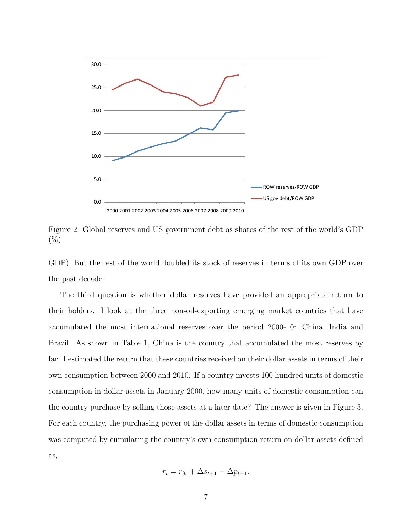

Figure 2: Global reserves and US government debt as shares of the rest of the world's GDP  $(\%)$ 

GDP). But the rest of the world doubled its stock of reserves in terms of its own GDP over the past decade.

The third question is whether dollar reserves have provided an appropriate return to their holders. I look at the three non-oil-exporting emerging market countries that have accumulated the most international reserves over the period 2000-10: China, India and Brazil. As shown in Table 1, China is the country that accumulated the most reserves by far. I estimated the return that these countries received on their dollar assets in terms of their own consumption between 2000 and 2010. If a country invests 100 hundred units of domestic consumption in dollar assets in January 2000, how many units of domestic consumption can the country purchase by selling those assets at a later date? The answer is given in Figure 3. For each country, the purchasing power of the dollar assets in terms of domestic consumption was computed by cumulating the country's own-consumption return on dollar assets defined as,

$$
r_t = r_{\$t} + \Delta s_{t+1} - \Delta p_{t+1}.
$$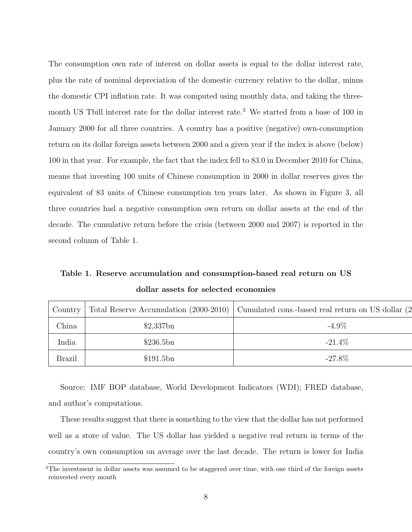The consumption own rate of interest on dollar assets is equal to the dollar interest rate, plus the rate of nominal depreciation of the domestic currency relative to the dollar, minus the domestic CPI inflation rate. It was computed using monthly data, and taking the threemonth US Tbill interest rate for the dollar interest rate.<sup>3</sup> We started from a base of 100 in January 2000 for all three countries. A country has a positive (negative) own-consumption return on its dollar foreign assets between 2000 and a given year if the index is above (below) 100 in that year. For example, the fact that the index fell to 83.0 in December 2010 for China, means that investing 100 units of Chinese consumption in 2000 in dollar reserves gives the equivalent of 83 units of Chinese consumption ten years later. As shown in Figure 3, all three countries had a negative consumption own return on dollar assets at the end of the decade. The cumulative return before the crisis (between 2000 and 2007) is reported in the second column of Table 1.

Table 1. Reserve accumulation and consumption-based real return on US dollar assets for selected economies

| Country       |             | Total Reserve Accumulation (2000-2010) Cumulated cons.-based real return on US dollar (2 |
|---------------|-------------|------------------------------------------------------------------------------------------|
| China         | $$2,337$ bn | $-4.9\%$                                                                                 |
| India         | \$236.5bn   | $-21.4\%$                                                                                |
| <b>Brazil</b> | \$191.5bn   | $-27.8\%$                                                                                |

Source: IMF BOP database, World Development Indicators (WDI); FRED database, and author's computations.

These results suggest that there is something to the view that the dollar has not performed well as a store of value. The US dollar has yielded a negative real return in terms of the country's own consumption on average over the last decade. The return is lower for India

<sup>&</sup>lt;sup>3</sup>The investment in dollar assets was assumed to be staggered over time, with one third of the foreign assets reinvested every month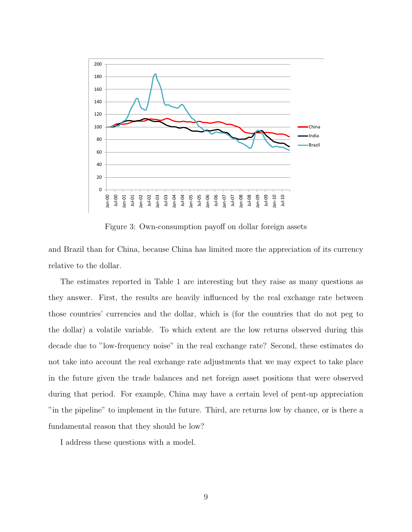

Figure 3: Own-consumption payoff on dollar foreign assets

and Brazil than for China, because China has limited more the appreciation of its currency relative to the dollar.

The estimates reported in Table 1 are interesting but they raise as many questions as they answer. First, the results are heavily influenced by the real exchange rate between those countries' currencies and the dollar, which is (for the countries that do not peg to the dollar) a volatile variable. To which extent are the low returns observed during this decade due to "low-frequency noise" in the real exchange rate? Second, these estimates do not take into account the real exchange rate adjustments that we may expect to take place in the future given the trade balances and net foreign asset positions that were observed during that period. For example, China may have a certain level of pent-up appreciation "in the pipeline" to implement in the future. Third, are returns low by chance, or is there a fundamental reason that they should be low?

I address these questions with a model.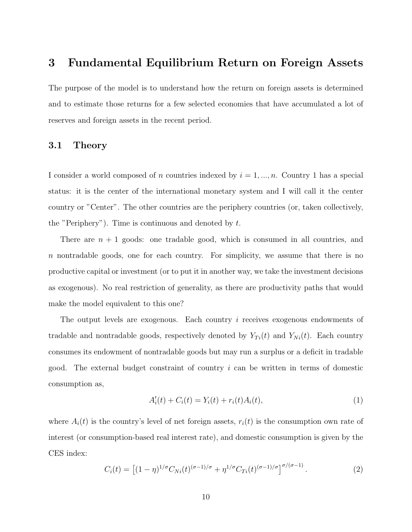## 3 Fundamental Equilibrium Return on Foreign Assets

The purpose of the model is to understand how the return on foreign assets is determined and to estimate those returns for a few selected economies that have accumulated a lot of reserves and foreign assets in the recent period.

## 3.1 Theory

I consider a world composed of n countries indexed by  $i = 1, ..., n$ . Country 1 has a special status: it is the center of the international monetary system and I will call it the center country or "Center". The other countries are the periphery countries (or, taken collectively, the "Periphery"). Time is continuous and denoted by  $t$ .

There are  $n + 1$  goods: one tradable good, which is consumed in all countries, and n nontradable goods, one for each country. For simplicity, we assume that there is no productive capital or investment (or to put it in another way, we take the investment decisions as exogenous). No real restriction of generality, as there are productivity paths that would make the model equivalent to this one?

The output levels are exogenous. Each country i receives exogenous endowments of tradable and nontradable goods, respectively denoted by  $Y_{Ti}(t)$  and  $Y_{Ni}(t)$ . Each country consumes its endowment of nontradable goods but may run a surplus or a deficit in tradable good. The external budget constraint of country i can be written in terms of domestic consumption as,

$$
A_i'(t) + C_i(t) = Y_i(t) + r_i(t)A_i(t),
$$
\n(1)

where  $A_i(t)$  is the country's level of net foreign assets,  $r_i(t)$  is the consumption own rate of interest (or consumption-based real interest rate), and domestic consumption is given by the CES index:

$$
C_i(t) = \left[ (1 - \eta)^{1/\sigma} C_{Ni}(t)^{(\sigma - 1)/\sigma} + \eta^{1/\sigma} C_{Ti}(t)^{(\sigma - 1)/\sigma} \right]^{\sigma/(\sigma - 1)}.
$$
 (2)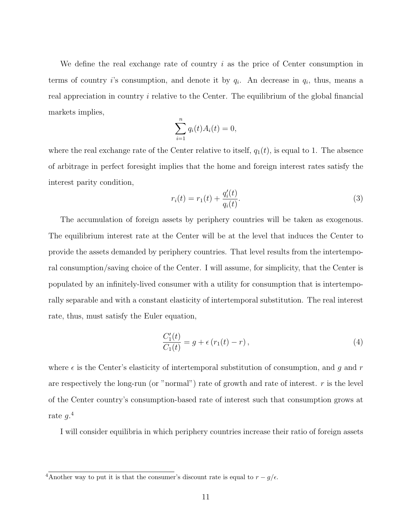We define the real exchange rate of country  $i$  as the price of Center consumption in terms of country *i*'s consumption, and denote it by  $q_i$ . An decrease in  $q_i$ , thus, means a real appreciation in country  $i$  relative to the Center. The equilibrium of the global financial markets implies,

$$
\sum_{i=1}^n q_i(t)A_i(t) = 0,
$$

where the real exchange rate of the Center relative to itself,  $q_1(t)$ , is equal to 1. The absence of arbitrage in perfect foresight implies that the home and foreign interest rates satisfy the interest parity condition,

$$
r_i(t) = r_1(t) + \frac{q_i'(t)}{q_i(t)}.
$$
\n(3)

The accumulation of foreign assets by periphery countries will be taken as exogenous. The equilibrium interest rate at the Center will be at the level that induces the Center to provide the assets demanded by periphery countries. That level results from the intertemporal consumption/saving choice of the Center. I will assume, for simplicity, that the Center is populated by an infinitely-lived consumer with a utility for consumption that is intertemporally separable and with a constant elasticity of intertemporal substitution. The real interest rate, thus, must satisfy the Euler equation,

$$
\frac{C_1'(t)}{C_1(t)} = g + \epsilon (r_1(t) - r), \qquad (4)
$$

where  $\epsilon$  is the Center's elasticity of intertemporal substitution of consumption, and g and r are respectively the long-run (or "normal") rate of growth and rate of interest.  $r$  is the level of the Center country's consumption-based rate of interest such that consumption grows at rate  $g.^4$ 

I will consider equilibria in which periphery countries increase their ratio of foreign assets

 $4\overline{\text{Another way to put it is that the consumer's discount rate is equal to } r - g/\epsilon.$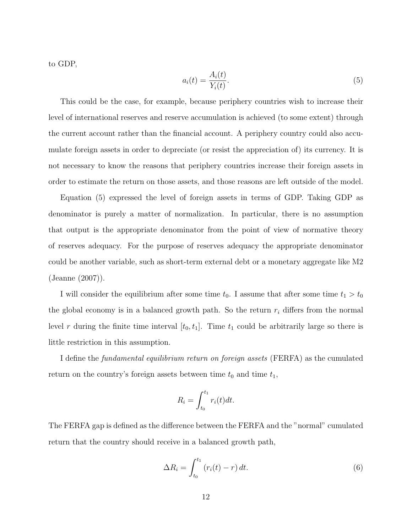to GDP,

$$
a_i(t) = \frac{A_i(t)}{Y_i(t)}.\t\t(5)
$$

This could be the case, for example, because periphery countries wish to increase their level of international reserves and reserve accumulation is achieved (to some extent) through the current account rather than the financial account. A periphery country could also accumulate foreign assets in order to depreciate (or resist the appreciation of) its currency. It is not necessary to know the reasons that periphery countries increase their foreign assets in order to estimate the return on those assets, and those reasons are left outside of the model.

Equation (5) expressed the level of foreign assets in terms of GDP. Taking GDP as denominator is purely a matter of normalization. In particular, there is no assumption that output is the appropriate denominator from the point of view of normative theory of reserves adequacy. For the purpose of reserves adequacy the appropriate denominator could be another variable, such as short-term external debt or a monetary aggregate like M2 (Jeanne (2007)).

I will consider the equilibrium after some time  $t_0$ . I assume that after some time  $t_1 > t_0$ the global economy is in a balanced growth path. So the return  $r_i$  differs from the normal level r during the finite time interval  $[t_0, t_1]$ . Time  $t_1$  could be arbitrarily large so there is little restriction in this assumption.

I define the fundamental equilibrium return on foreign assets (FERFA) as the cumulated return on the country's foreign assets between time  $t_0$  and time  $t_1$ ,

$$
R_i = \int_{t_0}^{t_1} r_i(t) dt.
$$

The FERFA gap is defined as the difference between the FERFA and the "normal" cumulated return that the country should receive in a balanced growth path,

$$
\Delta R_i = \int_{t_0}^{t_1} \left( r_i(t) - r \right) dt. \tag{6}
$$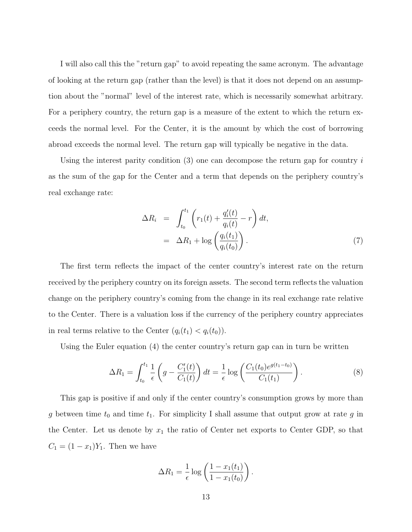I will also call this the "return gap" to avoid repeating the same acronym. The advantage of looking at the return gap (rather than the level) is that it does not depend on an assumption about the "normal" level of the interest rate, which is necessarily somewhat arbitrary. For a periphery country, the return gap is a measure of the extent to which the return exceeds the normal level. For the Center, it is the amount by which the cost of borrowing abroad exceeds the normal level. The return gap will typically be negative in the data.

Using the interest parity condition  $(3)$  one can decompose the return gap for country i as the sum of the gap for the Center and a term that depends on the periphery country's real exchange rate:

$$
\Delta R_i = \int_{t_0}^{t_1} \left( r_1(t) + \frac{q_i'(t)}{q_i(t)} - r \right) dt,
$$
  
=  $\Delta R_1 + \log \left( \frac{q_i(t_1)}{q_i(t_0)} \right).$  (7)

The first term reflects the impact of the center country's interest rate on the return received by the periphery country on its foreign assets. The second term reflects the valuation change on the periphery country's coming from the change in its real exchange rate relative to the Center. There is a valuation loss if the currency of the periphery country appreciates in real terms relative to the Center  $(q_i(t_1) < q_i(t_0))$ .

Using the Euler equation (4) the center country's return gap can in turn be written

$$
\Delta R_1 = \int_{t_0}^{t_1} \frac{1}{\epsilon} \left( g - \frac{C_1'(t)}{C_1(t)} \right) dt = \frac{1}{\epsilon} \log \left( \frac{C_1(t_0) e^{g(t_1 - t_0)}}{C_1(t_1)} \right).
$$
 (8)

.

This gap is positive if and only if the center country's consumption grows by more than g between time  $t_0$  and time  $t_1$ . For simplicity I shall assume that output grow at rate g in the Center. Let us denote by  $x_1$  the ratio of Center net exports to Center GDP, so that  $C_1 = (1 - x_1)Y_1$ . Then we have

$$
\Delta R_1 = \frac{1}{\epsilon} \log \left( \frac{1 - x_1(t_1)}{1 - x_1(t_0)} \right)
$$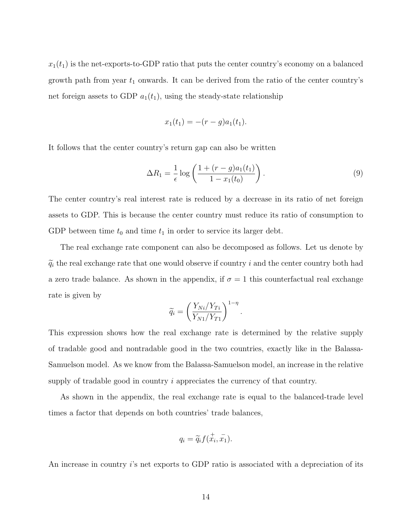$x_1(t_1)$  is the net-exports-to-GDP ratio that puts the center country's economy on a balanced growth path from year  $t_1$  onwards. It can be derived from the ratio of the center country's net foreign assets to GDP  $a_1(t_1)$ , using the steady-state relationship

$$
x_1(t_1) = -(r-g)a_1(t_1).
$$

It follows that the center country's return gap can also be written

$$
\Delta R_1 = \frac{1}{\epsilon} \log \left( \frac{1 + (r - g)a_1(t_1)}{1 - x_1(t_0)} \right). \tag{9}
$$

The center country's real interest rate is reduced by a decrease in its ratio of net foreign assets to GDP. This is because the center country must reduce its ratio of consumption to GDP between time  $t_0$  and time  $t_1$  in order to service its larger debt.

The real exchange rate component can also be decomposed as follows. Let us denote by  $\widetilde{q}_i$  the real exchange rate that one would observe if country i and the center country both had a zero trade balance. As shown in the appendix, if  $\sigma = 1$  this counterfactual real exchange rate is given by

$$
\widetilde{q}_i = \left(\frac{Y_{Ni}/Y_{Ti}}{Y_{N1}/Y_{T1}}\right)^{1-\eta}
$$

.

This expression shows how the real exchange rate is determined by the relative supply of tradable good and nontradable good in the two countries, exactly like in the Balassa-Samuelson model. As we know from the Balassa-Samuelson model, an increase in the relative supply of tradable good in country i appreciates the currency of that country.

As shown in the appendix, the real exchange rate is equal to the balanced-trade level times a factor that depends on both countries' trade balances,

$$
q_i = \widetilde{q}_i f(\dot{x}_i, \dot{x}_1).
$$

An increase in country i's net exports to GDP ratio is associated with a depreciation of its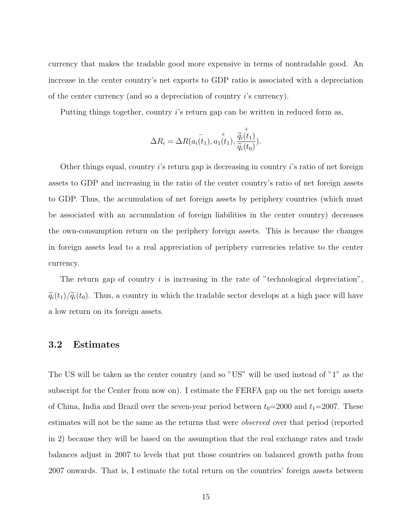currency that makes the tradable good more expensive in terms of nontradable good. An increase in the center country's net exports to GDP ratio is associated with a depreciation of the center currency (and so a depreciation of country i's currency).

Putting things together, country i's return gap can be written in reduced form as,

$$
\Delta R_i = \Delta R(\bar{a_i(t_1)}, \bar{a_1(t_1)}, \bar{\tilde{q_i(t_1)}}, \bar{\tilde{q_i(t_0)}}).
$$

Other things equal, country  $i$ 's return gap is decreasing in country  $i$ 's ratio of net foreign assets to GDP and increasing in the ratio of the center country's ratio of net foreign assets to GDP. Thus, the accumulation of net foreign assets by periphery countries (which must be associated with an accumulation of foreign liabilities in the center country) decreases the own-consumption return on the periphery foreign assets. This is because the changes in foreign assets lead to a real appreciation of periphery currencies relative to the center currency.

The return gap of country  $i$  is increasing in the rate of "technological depreciation",  $\tilde{q}_i(t_1)/\tilde{q}_i(t_0)$ . Thus, a country in which the tradable sector develops at a high pace will have a low return on its foreign assets.

### 3.2 Estimates

The US will be taken as the center country (and so "US" will be used instead of "1" as the subscript for the Center from now on). I estimate the FERFA gap on the net foreign assets of China, India and Brazil over the seven-year period between  $t_0=2000$  and  $t_1=2007$ . These estimates will not be the same as the returns that were observed over that period (reported in 2) because they will be based on the assumption that the real exchange rates and trade balances adjust in 2007 to levels that put those countries on balanced growth paths from 2007 onwards. That is, I estimate the total return on the countries' foreign assets between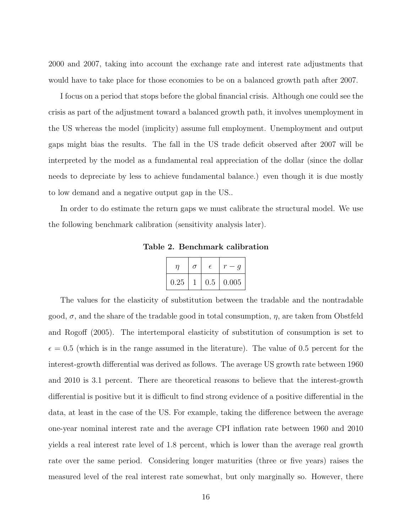2000 and 2007, taking into account the exchange rate and interest rate adjustments that would have to take place for those economies to be on a balanced growth path after 2007.

I focus on a period that stops before the global financial crisis. Although one could see the crisis as part of the adjustment toward a balanced growth path, it involves unemployment in the US whereas the model (implicity) assume full employment. Unemployment and output gaps might bias the results. The fall in the US trade deficit observed after 2007 will be interpreted by the model as a fundamental real appreciation of the dollar (since the dollar needs to depreciate by less to achieve fundamental balance.) even though it is due mostly to low demand and a negative output gap in the US..

In order to do estimate the return gaps we must calibrate the structural model. We use the following benchmark calibration (sensitivity analysis later).

Table 2. Benchmark calibration

|      | σ | E.  |       |
|------|---|-----|-------|
| 0.25 |   | 0.5 | 0.005 |

The values for the elasticity of substitution between the tradable and the nontradable good,  $\sigma$ , and the share of the tradable good in total consumption,  $\eta$ , are taken from Obstfeld and Rogoff (2005). The intertemporal elasticity of substitution of consumption is set to  $\epsilon = 0.5$  (which is in the range assumed in the literature). The value of 0.5 percent for the interest-growth differential was derived as follows. The average US growth rate between 1960 and 2010 is 3.1 percent. There are theoretical reasons to believe that the interest-growth differential is positive but it is difficult to find strong evidence of a positive differential in the data, at least in the case of the US. For example, taking the difference between the average one-year nominal interest rate and the average CPI inflation rate between 1960 and 2010 yields a real interest rate level of 1.8 percent, which is lower than the average real growth rate over the same period. Considering longer maturities (three or five years) raises the measured level of the real interest rate somewhat, but only marginally so. However, there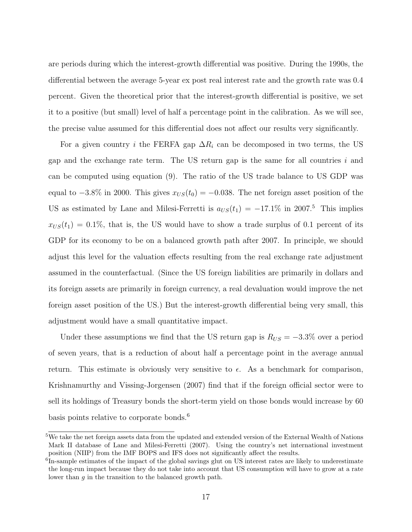are periods during which the interest-growth differential was positive. During the 1990s, the differential between the average 5-year ex post real interest rate and the growth rate was 0.4 percent. Given the theoretical prior that the interest-growth differential is positive, we set it to a positive (but small) level of half a percentage point in the calibration. As we will see, the precise value assumed for this differential does not affect our results very significantly.

For a given country i the FERFA gap  $\Delta R_i$  can be decomposed in two terms, the US gap and the exchange rate term. The US return gap is the same for all countries  $i$  and can be computed using equation (9). The ratio of the US trade balance to US GDP was equal to  $-3.8\%$  in 2000. This gives  $x_{US}(t_0) = -0.038$ . The net foreign asset position of the US as estimated by Lane and Milesi-Ferretti is  $a_{US}(t_1) = -17.1\%$  in 2007.<sup>5</sup> This implies  $x_{US}(t_1) = 0.1\%$ , that is, the US would have to show a trade surplus of 0.1 percent of its GDP for its economy to be on a balanced growth path after 2007. In principle, we should adjust this level for the valuation effects resulting from the real exchange rate adjustment assumed in the counterfactual. (Since the US foreign liabilities are primarily in dollars and its foreign assets are primarily in foreign currency, a real devaluation would improve the net foreign asset position of the US.) But the interest-growth differential being very small, this adjustment would have a small quantitative impact.

Under these assumptions we find that the US return gap is  $R_{US} = -3.3\%$  over a period of seven years, that is a reduction of about half a percentage point in the average annual return. This estimate is obviously very sensitive to  $\epsilon$ . As a benchmark for comparison, Krishnamurthy and Vissing-Jorgensen (2007) find that if the foreign official sector were to sell its holdings of Treasury bonds the short-term yield on those bonds would increase by 60 basis points relative to corporate bonds.<sup>6</sup>

<sup>&</sup>lt;sup>5</sup>We take the net foreign assets data from the updated and extended version of the External Wealth of Nations Mark II database of Lane and Milesi-Ferretti (2007). Using the country's net international investment position (NIIP) from the IMF BOPS and IFS does not significantly affect the results.

<sup>&</sup>lt;sup>6</sup>In-sample estimates of the impact of the global savings glut on US interest rates are likely to underestimate the long-run impact because they do not take into account that US consumption will have to grow at a rate lower than g in the transition to the balanced growth path.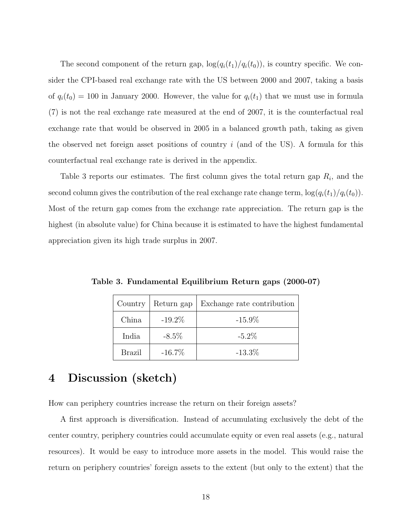The second component of the return gap,  $\log(q_i(t_1)/q_i(t_0))$ , is country specific. We consider the CPI-based real exchange rate with the US between 2000 and 2007, taking a basis of  $q_i(t_0) = 100$  in January 2000. However, the value for  $q_i(t_1)$  that we must use in formula (7) is not the real exchange rate measured at the end of 2007, it is the counterfactual real exchange rate that would be observed in 2005 in a balanced growth path, taking as given the observed net foreign asset positions of country  $i$  (and of the US). A formula for this counterfactual real exchange rate is derived in the appendix.

Table 3 reports our estimates. The first column gives the total return gap  $R_i$ , and the second column gives the contribution of the real exchange rate change term,  $\log(q_i(t_1)/q_i(t_0))$ . Most of the return gap comes from the exchange rate appreciation. The return gap is the highest (in absolute value) for China because it is estimated to have the highest fundamental appreciation given its high trade surplus in 2007.

| Country | Return gap | Exchange rate contribution |
|---------|------------|----------------------------|
| China   | $-19.2\%$  | $-15.9\%$                  |
| India   | $-8.5\%$   | $-5.2\%$                   |
| Brazil  | $-16.7\%$  | $-13.3\%$                  |

Table 3. Fundamental Equilibrium Return gaps (2000-07)

# 4 Discussion (sketch)

How can periphery countries increase the return on their foreign assets?

A first approach is diversification. Instead of accumulating exclusively the debt of the center country, periphery countries could accumulate equity or even real assets (e.g., natural resources). It would be easy to introduce more assets in the model. This would raise the return on periphery countries' foreign assets to the extent (but only to the extent) that the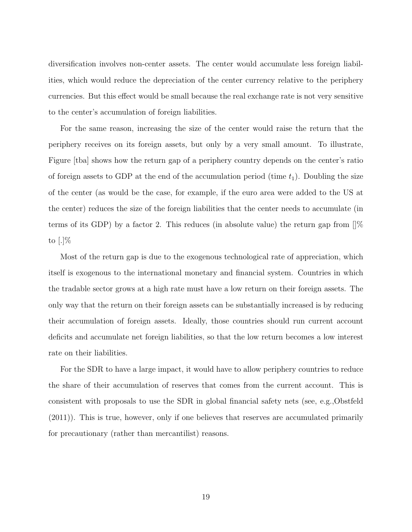diversification involves non-center assets. The center would accumulate less foreign liabilities, which would reduce the depreciation of the center currency relative to the periphery currencies. But this effect would be small because the real exchange rate is not very sensitive to the center's accumulation of foreign liabilities.

For the same reason, increasing the size of the center would raise the return that the periphery receives on its foreign assets, but only by a very small amount. To illustrate, Figure [tba] shows how the return gap of a periphery country depends on the center's ratio of foreign assets to GDP at the end of the accumulation period (time  $t_1$ ). Doubling the size of the center (as would be the case, for example, if the euro area were added to the US at the center) reduces the size of the foreign liabilities that the center needs to accumulate (in terms of its GDP) by a factor 2. This reduces (in absolute value) the return gap from  $\frac{1}{6}$ to  $[.]\%$ 

Most of the return gap is due to the exogenous technological rate of appreciation, which itself is exogenous to the international monetary and financial system. Countries in which the tradable sector grows at a high rate must have a low return on their foreign assets. The only way that the return on their foreign assets can be substantially increased is by reducing their accumulation of foreign assets. Ideally, those countries should run current account deficits and accumulate net foreign liabilities, so that the low return becomes a low interest rate on their liabilities.

For the SDR to have a large impact, it would have to allow periphery countries to reduce the share of their accumulation of reserves that comes from the current account. This is consistent with proposals to use the SDR in global financial safety nets (see, e.g.,Obstfeld (2011)). This is true, however, only if one believes that reserves are accumulated primarily for precautionary (rather than mercantilist) reasons.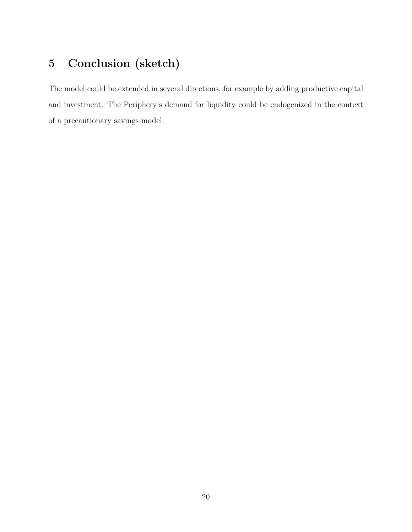# 5 Conclusion (sketch)

The model could be extended in several directions, for example by adding productive capital and investment. The Periphery's demand for liquidity could be endogenized in the context of a precautionary savings model.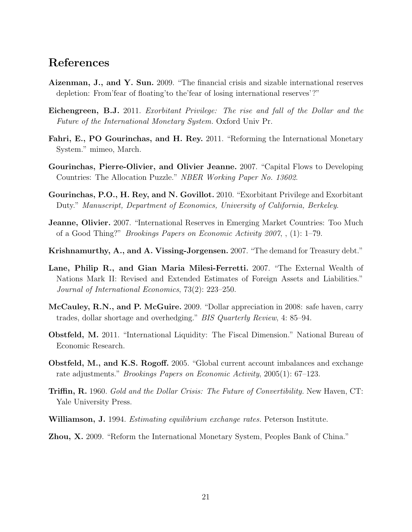## References

- Aizenman, J., and Y. Sun. 2009. "The financial crisis and sizable international reserves depletion: From'fear of floating'to the'fear of losing international reserves'?"
- Eichengreen, B.J. 2011. Exorbitant Privilege: The rise and fall of the Dollar and the Future of the International Monetary System. Oxford Univ Pr.
- Fahri, E., PO Gourinchas, and H. Rey. 2011. "Reforming the International Monetary System." mimeo, March.
- Gourinchas, Pierre-Olivier, and Olivier Jeanne. 2007. "Capital Flows to Developing Countries: The Allocation Puzzle." NBER Working Paper No. 13602.
- Gourinchas, P.O., H. Rey, and N. Govillot. 2010. "Exorbitant Privilege and Exorbitant Duty." Manuscript, Department of Economics, University of California, Berkeley.
- **Jeanne, Olivier.** 2007. "International Reserves in Emerging Market Countries: Too Much of a Good Thing?" Brookings Papers on Economic Activity 2007, , (1): 1–79.
- Krishnamurthy, A., and A. Vissing-Jorgensen. 2007. "The demand for Treasury debt."
- Lane, Philip R., and Gian Maria Milesi-Ferretti. 2007. "The External Wealth of Nations Mark II: Revised and Extended Estimates of Foreign Assets and Liabilities." Journal of International Economics, 73(2): 223–250.
- McCauley, R.N., and P. McGuire. 2009. "Dollar appreciation in 2008: safe haven, carry trades, dollar shortage and overhedging." BIS Quarterly Review, 4: 85–94.
- Obstfeld, M. 2011. "International Liquidity: The Fiscal Dimension." National Bureau of Economic Research.
- Obstfeld, M., and K.S. Rogoff. 2005. "Global current account imbalances and exchange rate adjustments." Brookings Papers on Economic Activity, 2005(1): 67–123.
- **Triffin, R.** 1960. Gold and the Dollar Crisis: The Future of Convertibility. New Haven, CT: Yale University Press.
- Williamson, J. 1994. *Estimating equilibrium exchange rates*. Peterson Institute.
- Zhou, X. 2009. "Reform the International Monetary System, Peoples Bank of China."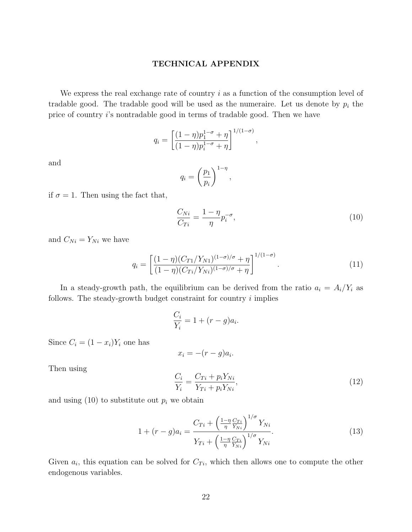### TECHNICAL APPENDIX

We express the real exchange rate of country  $i$  as a function of the consumption level of tradable good. The tradable good will be used as the numeraire. Let us denote by  $p_i$  the price of country i's nontradable good in terms of tradable good. Then we have

$$
q_i = \left[ \frac{(1 - \eta)p_1^{1 - \sigma} + \eta}{(1 - \eta)p_i^{1 - \sigma} + \eta} \right]^{1/(1 - \sigma)}
$$

and

$$
q_i = \left(\frac{p_1}{p_i}\right)^{1-\eta},
$$

if  $\sigma = 1$ . Then using the fact that,

$$
\frac{C_{Ni}}{C_{Ti}} = \frac{1 - \eta}{\eta} p_i^{-\sigma},\tag{10}
$$

,

and  $C_{Ni} = Y_{Ni}$  we have

$$
q_i = \left[ \frac{(1 - \eta)(C_{T1}/Y_{N1})^{(1 - \sigma)/\sigma} + \eta}{(1 - \eta)(C_{Ti}/Y_{Ni})^{(1 - \sigma)/\sigma} + \eta} \right]^{1/(1 - \sigma)}.
$$
\n(11)

In a steady-growth path, the equilibrium can be derived from the ratio  $a_i = A_i/Y_i$  as follows. The steady-growth budget constraint for country  $i$  implies

$$
\frac{C_i}{Y_i} = 1 + (r - g)a_i.
$$

Since  $C_i = (1 - x_i)Y_i$  one has

$$
x_i = -(r - g)a_i.
$$

Then using

$$
\frac{C_i}{Y_i} = \frac{C_{Ti} + p_i Y_{Ni}}{Y_{Ti} + p_i Y_{Ni}},\tag{12}
$$

and using  $(10)$  to substitute out  $p_i$  we obtain

$$
1 + (r - g)a_i = \frac{C_{Ti} + \left(\frac{1 - \eta C_{Ti}}{\eta} \frac{C_{Ti}}{Y_{Ni}}\right)^{1/\sigma} Y_{Ni}}{Y_{Ti} + \left(\frac{1 - \eta C_{Ti}}{\eta} \frac{C_{Ti}}{Y_{Ni}}\right)^{1/\sigma} Y_{Ni}}.
$$
\n(13)

Given  $a_i$ , this equation can be solved for  $C_{Ti}$ , which then allows one to compute the other endogenous variables.